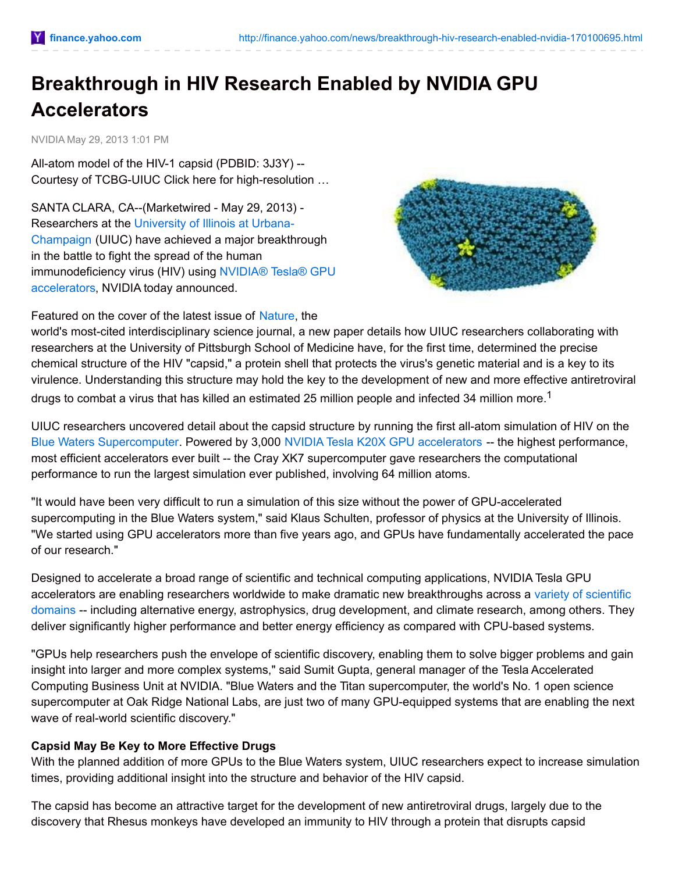# **Breakthrough in HIV Research Enabled by NVIDIA GPU Accelerators**

NVIDIA May 29, 2013 1:01 PM

All-atom model of the HIV-1 capsid (PDBID: 3J3Y) -- Courtesy of TCBG-UIUC Click here for high-resolution …

SANTA CLARA, CA--(Marketwired - May 29, 2013) - [Researchers](http://ctt.marketwire.com/?release=1021428&id=3038809&type=1&url=http%3a%2f%2fwww.illinois.edu%2f) at the University of Illinois at Urbana-Champaign (UIUC) have achieved a major breakthrough in the battle to fight the spread of the human [immunodeficiency](http://ctt.marketwire.com/?release=1021428&id=3038812&type=1&url=http%3a%2f%2fwww.nvidia.com%2fobject%2ftesla-supercomputing-solutions.html%23source%3dpr) virus (HIV) using NVIDIA® Tesla® GPU accelerators, NVIDIA today announced.



Featured on the cover of the latest issue of [Nature](http://ctt.marketwire.com/?release=1021428&id=3038815&type=1&url=http%3a%2f%2fwww.nature.com%2fnature%2findex.html), the

world's most-cited interdisciplinary science journal, a new paper details how UIUC researchers collaborating with researchers at the University of Pittsburgh School of Medicine have, for the first time, determined the precise chemical structure of the HIV "capsid," a protein shell that protects the virus's genetic material and is a key to its virulence. Understanding this structure may hold the key to the development of new and more effective antiretroviral drugs to combat a virus that has killed an estimated 25 million people and infected 34 million more.<sup>1</sup>

UIUC researchers uncovered detail about the capsid structure by running the first all-atom simulation of HIV on the Blue Waters [Supercomputer](http://ctt.marketwire.com/?release=1021428&id=3038818&type=1&url=http%3a%2f%2fwww.ncsa.illinois.edu%2fBlueWaters%2f). Powered by 3,000 NVIDIA Tesla K20X GPU [accelerators](http://ctt.marketwire.com/?release=1021428&id=3038821&type=1&url=http%3a%2f%2fwww.nvidia.com%2fobject%2ftesla-servers.html%23source%3dpr) -- the highest performance, most efficient accelerators ever built -- the Cray XK7 supercomputer gave researchers the computational performance to run the largest simulation ever published, involving 64 million atoms.

"It would have been very difficult to run a simulation of this size without the power of GPU-accelerated supercomputing in the Blue Waters system," said Klaus Schulten, professor of physics at the University of Illinois. "We started using GPU accelerators more than five years ago, and GPUs have fundamentally accelerated the pace of our research."

Designed to accelerate a broad range of scientific and technical computing applications, NVIDIA Tesla GPU accelerators are enabling researchers worldwide to make dramatic new [breakthroughs](http://ctt.marketwire.com/?release=1021428&id=3038824&type=1&url=http%3a%2f%2fwww.nvidia.com%2fobject%2fgpu-applications-domain.html) across a variety of scientific domains -- including alternative energy, astrophysics, drug development, and climate research, among others. They deliver significantly higher performance and better energy efficiency as compared with CPU-based systems.

"GPUs help researchers push the envelope of scientific discovery, enabling them to solve bigger problems and gain insight into larger and more complex systems," said Sumit Gupta, general manager of the Tesla Accelerated Computing Business Unit at NVIDIA. "Blue Waters and the Titan supercomputer, the world's No. 1 open science supercomputer at Oak Ridge National Labs, are just two of many GPU-equipped systems that are enabling the next wave of real-world scientific discovery."

#### **Capsid May Be Key to More Effective Drugs**

With the planned addition of more GPUs to the Blue Waters system, UIUC researchers expect to increase simulation times, providing additional insight into the structure and behavior of the HIV capsid.

The capsid has become an attractive target for the development of new antiretroviral drugs, largely due to the discovery that Rhesus monkeys have developed an immunity to HIV through a protein that disrupts capsid